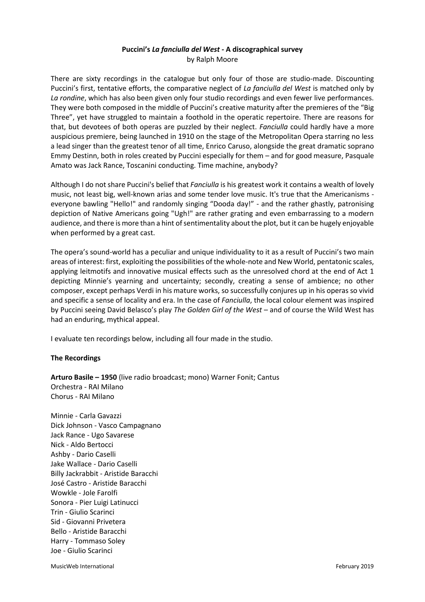## **Puccini's** *La fanciulla del West -* **A discographical survey** by Ralph Moore

There are sixty recordings in the catalogue but only four of those are studio-made. Discounting Puccini's first, tentative efforts, the comparative neglect of *La fanciulla del West* is matched only by *La rondine*, which has also been given only four studio recordings and even fewer live performances. They were both composed in the middle of Puccini's creative maturity after the premieres of the "Big Three", yet have struggled to maintain a foothold in the operatic repertoire. There are reasons for that, but devotees of both operas are puzzled by their neglect. *Fanciulla* could hardly have a more auspicious premiere, being launched in 1910 on the stage of the Metropolitan Opera starring no less a lead singer than the greatest tenor of all time, Enrico Caruso, alongside the great dramatic soprano Emmy Destinn, both in roles created by Puccini especially for them – and for good measure, Pasquale Amato was Jack Rance, Toscanini conducting. Time machine, anybody?

Although I do not share Puccini's belief that *Fanciulla* is his greatest work it contains a wealth of lovely music, not least big, well-known arias and some tender love music. It's true that the Americanisms everyone bawling "Hello!" and randomly singing "Dooda day!" - and the rather ghastly, patronising depiction of Native Americans going "Ugh!" are rather grating and even embarrassing to a modern audience, and there is more than a hint of sentimentality about the plot, but it can be hugely enjoyable when performed by a great cast.

The opera's sound-world has a peculiar and unique individuality to it as a result of Puccini's two main areas of interest: first, exploiting the possibilities of the whole-note and New World, pentatonic scales, applying leitmotifs and innovative musical effects such as the unresolved chord at the end of Act 1 depicting Minnie's yearning and uncertainty; secondly, creating a sense of ambience; no other composer, except perhaps Verdi in his mature works, so successfully conjures up in his operas so vivid and specific a sense of locality and era. In the case of *Fanciulla*, the local colour element was inspired by Puccini seeing David Belasco's play *The Golden Girl of the West* – and of course the Wild West has had an enduring, mythical appeal.

I evaluate ten recordings below, including all four made in the studio.

## **The Recordings**

**Arturo Basile – 1950** (live radio broadcast; mono) Warner Fonit; Cantus Orchestra - RAI Milano Chorus - RAI Milano

Minnie - Carla Gavazzi Dick Johnson - Vasco Campagnano Jack Rance - Ugo Savarese Nick - Aldo Bertocci Ashby - Dario Caselli Jake Wallace - Dario Caselli Billy Jackrabbit - Aristide Baracchi José Castro - Aristide Baracchi Wowkle - Jole Farolfi Sonora - Pier Luigi Latinucci Trin - Giulio Scarinci Sid - Giovanni Privetera Bello - Aristide Baracchi Harry - Tommaso Soley Joe - Giulio Scarinci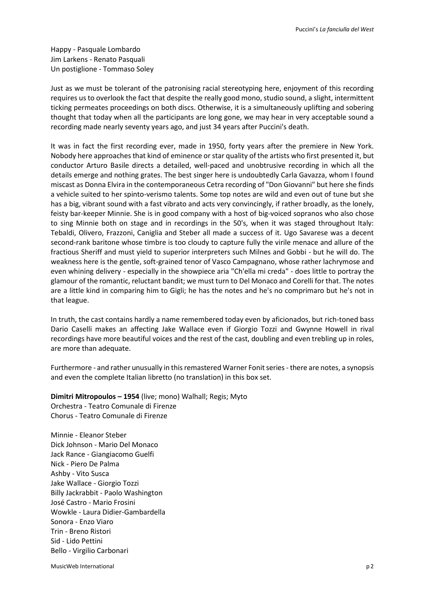Happy - Pasquale Lombardo Jim Larkens - Renato Pasquali Un postiglione - Tommaso Soley

Just as we must be tolerant of the patronising racial stereotyping here, enjoyment of this recording requires us to overlook the fact that despite the really good mono, studio sound, a slight, intermittent ticking permeates proceedings on both discs. Otherwise, it is a simultaneously uplifting and sobering thought that today when all the participants are long gone, we may hear in very acceptable sound a recording made nearly seventy years ago, and just 34 years after Puccini's death.

It was in fact the first recording ever, made in 1950, forty years after the premiere in New York. Nobody here approaches that kind of eminence or star quality of the artists who first presented it, but conductor Arturo Basile directs a detailed, well-paced and unobtrusive recording in which all the details emerge and nothing grates. The best singer here is undoubtedly Carla Gavazza, whom I found miscast as Donna Elvira in the contemporaneous Cetra recording of "Don Giovanni" but here she finds a vehicle suited to her spinto-verismo talents. Some top notes are wild and even out of tune but she has a big, vibrant sound with a fast vibrato and acts very convincingly, if rather broadly, as the lonely, feisty bar-keeper Minnie. She is in good company with a host of big-voiced sopranos who also chose to sing Minnie both on stage and in recordings in the 50's, when it was staged throughout Italy: Tebaldi, Olivero, Frazzoni, Caniglia and Steber all made a success of it. Ugo Savarese was a decent second-rank baritone whose timbre is too cloudy to capture fully the virile menace and allure of the fractious Sheriff and must yield to superior interpreters such Milnes and Gobbi - but he will do. The weakness here is the gentle, soft-grained tenor of Vasco Campagnano, whose rather lachrymose and even whining delivery - especially in the showpiece aria "Ch'ella mi creda" - does little to portray the glamour of the romantic, reluctant bandit; we must turn to Del Monaco and Corelli for that. The notes are a little kind in comparing him to Gigli; he has the notes and he's no comprimaro but he's not in that league.

In truth, the cast contains hardly a name remembered today even by aficionados, but rich-toned bass Dario Caselli makes an affecting Jake Wallace even if Giorgio Tozzi and Gwynne Howell in rival recordings have more beautiful voices and the rest of the cast, doubling and even trebling up in roles, are more than adequate.

Furthermore - and rather unusually in this remastered Warner Fonit series - there are notes, a synopsis and even the complete Italian libretto (no translation) in this box set.

**Dimitri Mitropoulos – 1954** (live; mono) Walhall; Regis; Myto Orchestra - Teatro Comunale di Firenze Chorus - Teatro Comunale di Firenze

Minnie - Eleanor Steber Dick Johnson - Mario Del Monaco Jack Rance - Giangiacomo Guelfi Nick - Piero De Palma Ashby - Vito Susca Jake Wallace - Giorgio Tozzi Billy Jackrabbit - Paolo Washington José Castro - Mario Frosini Wowkle - Laura Didier-Gambardella Sonora - Enzo Viaro Trin - Breno Ristori Sid - Lido Pettini Bello - Virgilio Carbonari

MusicWeb International p 2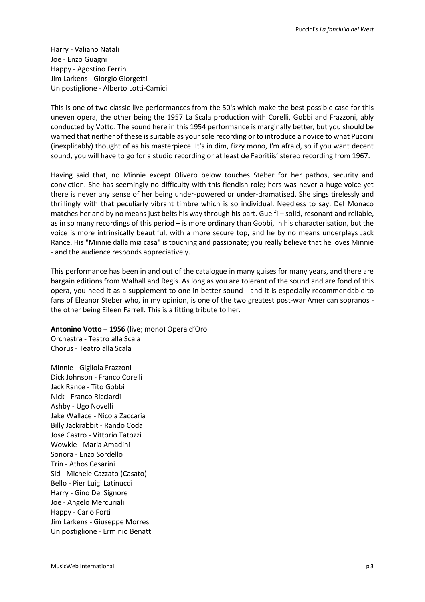Harry - Valiano Natali Joe - Enzo Guagni Happy - Agostino Ferrin Jim Larkens - Giorgio Giorgetti Un postiglione - Alberto Lotti-Camici

This is one of two classic live performances from the 50's which make the best possible case for this uneven opera, the other being the 1957 La Scala production with Corelli, Gobbi and Frazzoni, ably conducted by Votto. The sound here in this 1954 performance is marginally better, but you should be warned that neither of these is suitable as your sole recording or to introduce a novice to what Puccini (inexplicably) thought of as his masterpiece. It's in dim, fizzy mono, I'm afraid, so if you want decent sound, you will have to go for a studio recording or at least de Fabritiis' stereo recording from 1967.

Having said that, no Minnie except Olivero below touches Steber for her pathos, security and conviction. She has seemingly no difficulty with this fiendish role; hers was never a huge voice yet there is never any sense of her being under-powered or under-dramatised. She sings tirelessly and thrillingly with that peculiarly vibrant timbre which is so individual. Needless to say, Del Monaco matches her and by no means just belts his way through his part. Guelfi – solid, resonant and reliable, as in so many recordings of this period – is more ordinary than Gobbi, in his characterisation, but the voice is more intrinsically beautiful, with a more secure top, and he by no means underplays Jack Rance. His "Minnie dalla mia casa" is touching and passionate; you really believe that he loves Minnie - and the audience responds appreciatively.

This performance has been in and out of the catalogue in many guises for many years, and there are bargain editions from Walhall and Regis. As long as you are tolerant of the sound and are fond of this opera, you need it as a supplement to one in better sound - and it is especially recommendable to fans of Eleanor Steber who, in my opinion, is one of the two greatest post-war American sopranos the other being Eileen Farrell. This is a fitting tribute to her.

**Antonino Votto – 1956** (live; mono) Opera d'Oro Orchestra - Teatro alla Scala Chorus - Teatro alla Scala

Minnie - Gigliola Frazzoni Dick Johnson - Franco Corelli Jack Rance - Tito Gobbi Nick - Franco Ricciardi Ashby - Ugo Novelli Jake Wallace - Nicola Zaccaria Billy Jackrabbit - Rando Coda José Castro - Vittorio Tatozzi Wowkle - Maria Amadini Sonora - Enzo Sordello Trin - Athos Cesarini Sid - Michele Cazzato (Casato) Bello - Pier Luigi Latinucci Harry - Gino Del Signore Joe - Angelo Mercuriali Happy - Carlo Forti Jim Larkens - Giuseppe Morresi Un postiglione - Erminio Benatti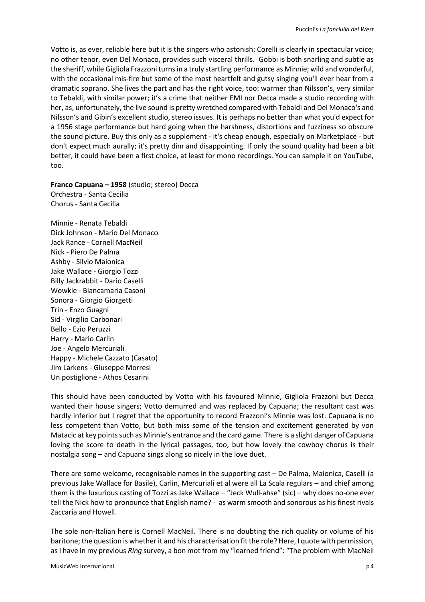Votto is, as ever, reliable here but it is the singers who astonish: Corelli is clearly in spectacular voice; no other tenor, even Del Monaco, provides such visceral thrills. Gobbi is both snarling and subtle as the sheriff, while Gigliola Frazzoni turns in a truly startling performance as Minnie; wild and wonderful, with the occasional mis-fire but some of the most heartfelt and gutsy singing you'll ever hear from a dramatic soprano. She lives the part and has the right voice, too: warmer than Nilsson's, very similar to Tebaldi, with similar power; it's a crime that neither EMI nor Decca made a studio recording with her, as, unfortunately, the live sound is pretty wretched compared with Tebaldi and Del Monaco's and Nilsson's and Gibin's excellent studio, stereo issues. It is perhaps no better than what you'd expect for a 1956 stage performance but hard going when the harshness, distortions and fuzziness so obscure the sound picture. Buy this only as a supplement - it's cheap enough, especially on Marketplace - but don't expect much aurally; it's pretty dim and disappointing. If only the sound quality had been a bit better, it could have been a first choice, at least for mono recordings. You can sample it on YouTube, too.

**Franco Capuana – 1958** (studio; stereo) Decca Orchestra - Santa Cecilia Chorus - Santa Cecilia

Minnie - Renata Tebaldi Dick Johnson - Mario Del Monaco Jack Rance - Cornell MacNeil Nick - Piero De Palma Ashby - Silvio Maionica Jake Wallace - Giorgio Tozzi Billy Jackrabbit - Dario Caselli Wowkle - Biancamaria Casoni Sonora - Giorgio Giorgetti Trin - Enzo Guagni Sid - Virgilio Carbonari Bello - Ezio Peruzzi Harry - Mario Carlin Joe - Angelo Mercuriali Happy - Michele Cazzato (Casato) Jim Larkens - Giuseppe Morresi Un postiglione - Athos Cesarini

This should have been conducted by Votto with his favoured Minnie, Gigliola Frazzoni but Decca wanted their house singers; Votto demurred and was replaced by Capuana; the resultant cast was hardly inferior but I regret that the opportunity to record Frazzoni's Minnie was lost. Capuana is no less competent than Votto, but both miss some of the tension and excitement generated by von Matacic at key points such as Minnie's entrance and the card game. There is a slight danger of Capuana loving the score to death in the lyrical passages, too, but how lovely the cowboy chorus is their nostalgia song – and Capuana sings along so nicely in the love duet.

There are some welcome, recognisable names in the supporting cast – De Palma, Maionica, Caselli (a previous Jake Wallace for Basile), Carlin, Mercuriali et al were all La Scala regulars – and chief among them is the luxurious casting of Tozzi as Jake Wallace – "Jeck Wull-ahse" (sic) – why does no-one ever tell the Nick how to pronounce that English name? - as warm smooth and sonorous as his finest rivals Zaccaria and Howell.

The sole non-Italian here is Cornell MacNeil. There is no doubting the rich quality or volume of his baritone; the question is whether it and his characterisation fit the role? Here, I quote with permission, as I have in my previous *Ring* survey, a bon mot from my "learned friend": "The problem with MacNeil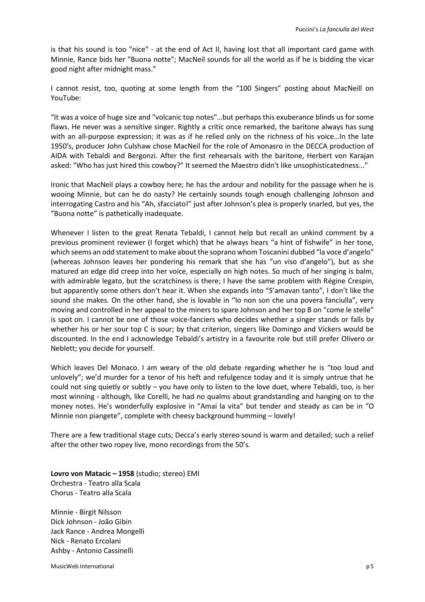is that his sound is too "nice" - at the end of Act II, having lost that all important card game with Minnie, Rance bids her "Buona notte"; MacNeil sounds for all the world as if he is bidding the vicar good night after midnight mass."

I cannot resist, too, quoting at some length from the "100 Singers" posting about MacNeill on YouTube:

"It was a voice of huge size and "volcanic top notes"…but perhaps this exuberance blinds us for some flaws. He never was a sensitive singer. Rightly a critic once remarked, the baritone always has sung with an all-purpose expression; it was as if he relied only on the richness of his voice…In the late 1950's, producer John Culshaw chose MacNeil for the role of Amonasro in the DECCA production of AIDA with Tebaldi and Bergonzi. After the first rehearsals with the baritone, Herbert von Karajan asked: "Who has just hired this cowboy?" It seemed the Maestro didn't like unsophisticatedness..."

Ironic that MacNeil plays a cowboy here; he has the ardour and nobility for the passage when he is wooing Minnie, but can he do nasty? He certainly sounds tough enough challenging Johnson and interrogating Castro and his "Ah, sfacciato!" just after Johnson's plea is properly snarled, but yes, the "Buona notte" is pathetically inadequate.

Whenever I listen to the great Renata Tebaldi, I cannot help but recall an unkind comment by a previous prominent reviewer (I forget which) that he always hears "a hint of fishwife" in her tone, which seems an odd statement to make about the soprano whom Toscanini dubbed "la voce d'angelo" (whereas Johnson leaves her pondering his remark that she has "un viso d'angelo"), but as she matured an edge did creep into her voice, especially on high notes. So much of her singing is balm, with admirable legato, but the scratchiness is there; I have the same problem with Régine Crespin, but apparently some others don't hear it. When she expands into "S'amavan tanto", I don't like the sound she makes. On the other hand, she is lovable in "Io non son che una povera fanciulla", very moving and controlled in her appeal to the miners to spare Johnson and her top B on "come le stelle" is spot on. I cannot be one of those voice-fanciers who decides whether a singer stands or falls by whether his or her sour top C is sour; by that criterion, singers like Domingo and Vickers would be discounted. In the end I acknowledge Tebaldi's artistry in a favourite role but still prefer Olivero or Neblett; you decide for yourself.

Which leaves Del Monaco. I am weary of the old debate regarding whether he is "too loud and unlovely"; we'd murder for a tenor of his heft and refulgence today and it is simply untrue that he could not sing quietly or subtly – you have only to listen to the love duet, where Tebaldi, too, is her most winning - although, like Corelli, he had no qualms about grandstanding and hanging on to the money notes. He's wonderfully explosive in "Amai la vita" but tender and steady as can be in "O Minnie non piangete", complete with cheesy background humming – lovely!

There are a few traditional stage cuts; Decca's early stereo sound is warm and detailed; such a relief after the other two ropey live, mono recordings from the 50's.

**Lovro von Matacic – 1958** (studio; stereo) EMI Orchestra - Teatro alla Scala Chorus - Teatro alla Scala

Minnie - Birgit Nilsson Dick Johnson - João Gibin Jack Rance - Andrea Mongelli Nick - Renato Ercolani Ashby - Antonio Cassinelli

MusicWeb International p 5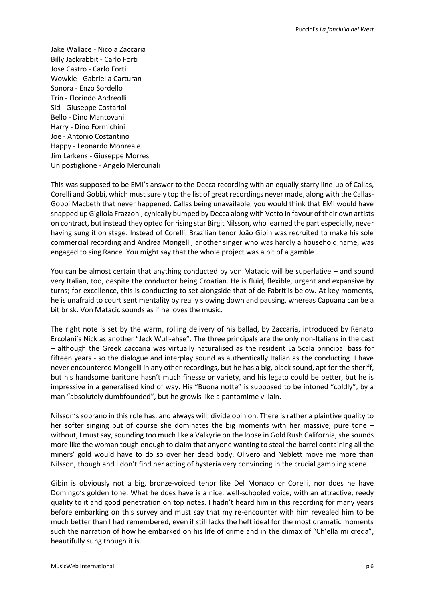Jake Wallace - Nicola Zaccaria Billy Jackrabbit - Carlo Forti José Castro - Carlo Forti Wowkle - Gabriella Carturan Sonora - Enzo Sordello Trin - Florindo Andreolli Sid - Giuseppe Costariol Bello - Dino Mantovani Harry - Dino Formichini Joe - Antonio Costantino Happy - Leonardo Monreale Jim Larkens - Giuseppe Morresi Un postiglione - Angelo Mercuriali

This was supposed to be EMI's answer to the Decca recording with an equally starry line-up of Callas, Corelli and Gobbi, which must surely top the list of great recordings never made, along with the Callas-Gobbi Macbeth that never happened. Callas being unavailable, you would think that EMI would have snapped up Gigliola Frazzoni, cynically bumped by Decca along with Votto in favour of their own artists on contract, but instead they opted for rising star Birgit Nilsson, who learned the part especially, never having sung it on stage. Instead of Corelli, Brazilian tenor João Gibin was recruited to make his sole commercial recording and Andrea Mongelli, another singer who was hardly a household name, was engaged to sing Rance. You might say that the whole project was a bit of a gamble.

You can be almost certain that anything conducted by von Matacic will be superlative – and sound very Italian, too, despite the conductor being Croatian. He is fluid, flexible, urgent and expansive by turns; for excellence, this is conducting to set alongside that of de Fabritiis below. At key moments, he is unafraid to court sentimentality by really slowing down and pausing, whereas Capuana can be a bit brisk. Von Matacic sounds as if he loves the music.

The right note is set by the warm, rolling delivery of his ballad, by Zaccaria, introduced by Renato Ercolani's Nick as another "Jeck Wull-ahse". The three principals are the only non-Italians in the cast – although the Greek Zaccaria was virtually naturalised as the resident La Scala principal bass for fifteen years - so the dialogue and interplay sound as authentically Italian as the conducting. I have never encountered Mongelli in any other recordings, but he has a big, black sound, apt for the sheriff, but his handsome baritone hasn't much finesse or variety, and his legato could be better, but he is impressive in a generalised kind of way. His "Buona notte" is supposed to be intoned "coldly", by a man "absolutely dumbfounded", but he growls like a pantomime villain.

Nilsson's soprano in this role has, and always will, divide opinion. There is rather a plaintive quality to her softer singing but of course she dominates the big moments with her massive, pure tone – without, I must say, sounding too much like a Valkyrie on the loose in Gold Rush California; she sounds more like the woman tough enough to claim that anyone wanting to steal the barrel containing all the miners' gold would have to do so over her dead body. Olivero and Neblett move me more than Nilsson, though and I don't find her acting of hysteria very convincing in the crucial gambling scene.

Gibin is obviously not a big, bronze-voiced tenor like Del Monaco or Corelli, nor does he have Domingo's golden tone. What he does have is a nice, well-schooled voice, with an attractive, reedy quality to it and good penetration on top notes. I hadn't heard him in this recording for many years before embarking on this survey and must say that my re-encounter with him revealed him to be much better than I had remembered, even if still lacks the heft ideal for the most dramatic moments such the narration of how he embarked on his life of crime and in the climax of "Ch'ella mi creda", beautifully sung though it is.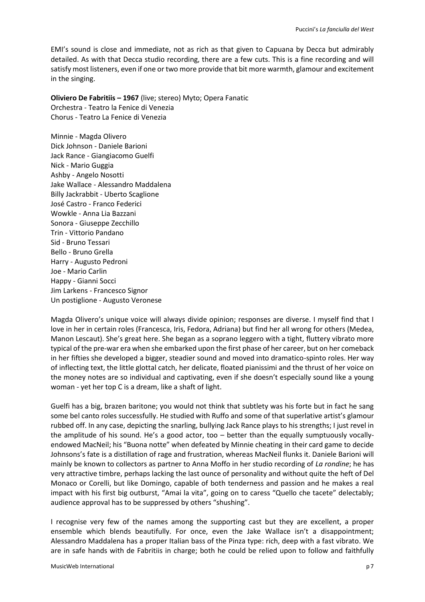EMI's sound is close and immediate, not as rich as that given to Capuana by Decca but admirably detailed. As with that Decca studio recording, there are a few cuts. This is a fine recording and will satisfy most listeners, even if one or two more provide that bit more warmth, glamour and excitement in the singing.

**Oliviero De Fabritiis – 1967** (live; stereo) Myto; Opera Fanatic Orchestra - Teatro la Fenice di Venezia Chorus - Teatro La Fenice di Venezia

Minnie - Magda Olivero Dick Johnson - Daniele Barioni Jack Rance - Giangiacomo Guelfi Nick - Mario Guggia Ashby - Angelo Nosotti Jake Wallace - Alessandro Maddalena Billy Jackrabbit - Uberto Scaglione José Castro - Franco Federici Wowkle - Anna Lia Bazzani Sonora - Giuseppe Zecchillo Trin - Vittorio Pandano Sid - Bruno Tessari Bello - Bruno Grella Harry - Augusto Pedroni Joe - Mario Carlin Happy - Gianni Socci Jim Larkens - Francesco Signor Un postiglione - Augusto Veronese

Magda Olivero's unique voice will always divide opinion; responses are diverse. I myself find that I love in her in certain roles (Francesca, Iris, Fedora, Adriana) but find her all wrong for others (Medea, Manon Lescaut). She's great here. She began as a soprano leggero with a tight, fluttery vibrato more typical of the pre-war era when she embarked upon the first phase of her career, but on her comeback in her fifties she developed a bigger, steadier sound and moved into dramatico-spinto roles. Her way of inflecting text, the little glottal catch, her delicate, floated pianissimi and the thrust of her voice on the money notes are so individual and captivating, even if she doesn't especially sound like a young woman - yet her top C is a dream, like a shaft of light.

Guelfi has a big, brazen baritone; you would not think that subtlety was his forte but in fact he sang some bel canto roles successfully. He studied with Ruffo and some of that superlative artist's glamour rubbed off. In any case, depicting the snarling, bullying Jack Rance plays to his strengths; I just revel in the amplitude of his sound. He's a good actor, too – better than the equally sumptuously vocallyendowed MacNeil; his "Buona notte" when defeated by Minnie cheating in their card game to decide Johnsons's fate is a distillation of rage and frustration, whereas MacNeil flunks it. Daniele Barioni will mainly be known to collectors as partner to Anna Moffo in her studio recording of *La rondine*; he has very attractive timbre, perhaps lacking the last ounce of personality and without quite the heft of Del Monaco or Corelli, but like Domingo, capable of both tenderness and passion and he makes a real impact with his first big outburst, "Amai la vita", going on to caress "Quello che tacete" delectably; audience approval has to be suppressed by others "shushing".

I recognise very few of the names among the supporting cast but they are excellent, a proper ensemble which blends beautifully. For once, even the Jake Wallace isn't a disappointment; Alessandro Maddalena has a proper Italian bass of the Pinza type: rich, deep with a fast vibrato. We are in safe hands with de Fabritiis in charge; both he could be relied upon to follow and faithfully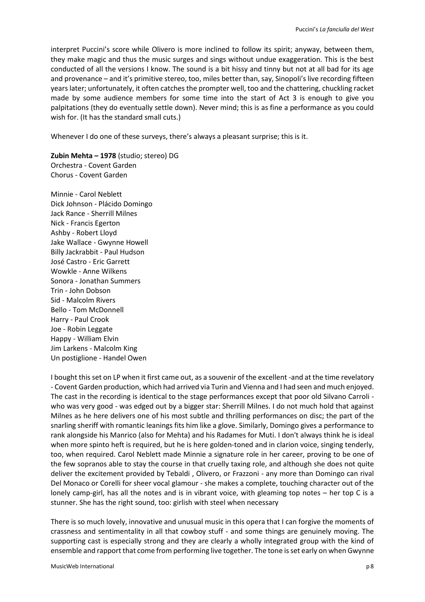interpret Puccini's score while Olivero is more inclined to follow its spirit; anyway, between them, they make magic and thus the music surges and sings without undue exaggeration. This is the best conducted of all the versions I know. The sound is a bit hissy and tinny but not at all bad for its age and provenance – and it's primitive stereo, too, miles better than, say, Sinopoli's live recording fifteen years later; unfortunately, it often catches the prompter well, too and the chattering, chuckling racket made by some audience members for some time into the start of Act 3 is enough to give you palpitations (they do eventually settle down). Never mind; this is as fine a performance as you could wish for. (It has the standard small cuts.)

Whenever I do one of these surveys, there's always a pleasant surprise; this is it.

**Zubin Mehta – 1978** (studio; stereo) DG Orchestra - Covent Garden Chorus - Covent Garden

Minnie - Carol Neblett Dick Johnson - Plácido Domingo Jack Rance - Sherrill Milnes Nick - Francis Egerton Ashby - Robert Lloyd Jake Wallace - Gwynne Howell Billy Jackrabbit - Paul Hudson José Castro - Eric Garrett Wowkle - Anne Wilkens Sonora - Jonathan Summers Trin - John Dobson Sid - Malcolm Rivers Bello - Tom McDonnell Harry - Paul Crook Joe - Robin Leggate Happy - William Elvin Jim Larkens - Malcolm King Un postiglione - Handel Owen

I bought this set on LP when it first came out, as a souvenir of the excellent -and at the time revelatory - Covent Garden production, which had arrived via Turin and Vienna and I had seen and much enjoyed. The cast in the recording is identical to the stage performances except that poor old Silvano Carroli who was very good - was edged out by a bigger star: Sherrill Milnes. I do not much hold that against Milnes as he here delivers one of his most subtle and thrilling performances on disc; the part of the snarling sheriff with romantic leanings fits him like a glove. Similarly, Domingo gives a performance to rank alongside his Manrico (also for Mehta) and his Radames for Muti. I don't always think he is ideal when more spinto heft is required, but he is here golden-toned and in clarion voice, singing tenderly, too, when required. Carol Neblett made Minnie a signature role in her career, proving to be one of the few sopranos able to stay the course in that cruelly taxing role, and although she does not quite deliver the excitement provided by Tebaldi , Olivero, or Frazzoni - any more than Domingo can rival Del Monaco or Corelli for sheer vocal glamour - she makes a complete, touching character out of the lonely camp-girl, has all the notes and is in vibrant voice, with gleaming top notes – her top C is a stunner. She has the right sound, too: girlish with steel when necessary

There is so much lovely, innovative and unusual music in this opera that I can forgive the moments of crassness and sentimentality in all that cowboy stuff - and some things are genuinely moving. The supporting cast is especially strong and they are clearly a wholly integrated group with the kind of ensemble and rapport that come from performing live together. The tone is set early on when Gwynne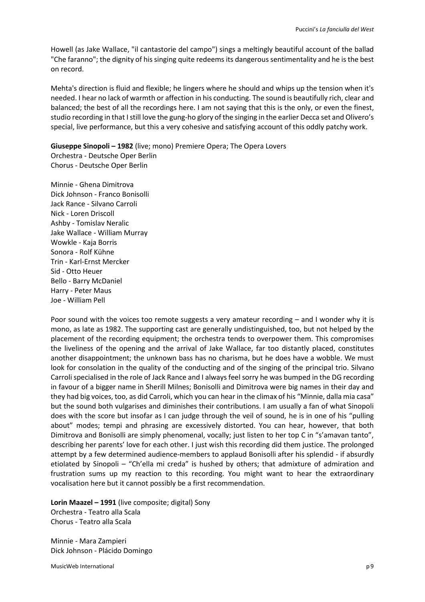Howell (as Jake Wallace, "il cantastorie del campo") sings a meltingly beautiful account of the ballad "Che faranno"; the dignity of his singing quite redeems its dangerous sentimentality and he is the best on record.

Mehta's direction is fluid and flexible; he lingers where he should and whips up the tension when it's needed. I hear no lack of warmth or affection in his conducting. The sound is beautifully rich, clear and balanced; the best of all the recordings here. I am not saying that this is the only, or even the finest, studio recording in that I still love the gung-ho glory of the singing in the earlier Decca set and Olivero's special, live performance, but this a very cohesive and satisfying account of this oddly patchy work.

**Giuseppe Sinopoli – 1982** (live; mono) Premiere Opera; The Opera Lovers Orchestra - Deutsche Oper Berlin Chorus - Deutsche Oper Berlin

Minnie - Ghena Dimitrova Dick Johnson - Franco Bonisolli Jack Rance - Silvano Carroli Nick - Loren Driscoll Ashby - Tomislav Neralic Jake Wallace - William Murray Wowkle - Kaja Borris Sonora - Rolf Kühne Trin - Karl-Ernst Mercker Sid - Otto Heuer Bello - Barry McDaniel Harry - Peter Maus Joe - William Pell

Poor sound with the voices too remote suggests a very amateur recording – and I wonder why it is mono, as late as 1982. The supporting cast are generally undistinguished, too, but not helped by the placement of the recording equipment; the orchestra tends to overpower them. This compromises the liveliness of the opening and the arrival of Jake Wallace, far too distantly placed, constitutes another disappointment; the unknown bass has no charisma, but he does have a wobble. We must look for consolation in the quality of the conducting and of the singing of the principal trio. Silvano Carroli specialised in the role of Jack Rance and I always feel sorry he was bumped in the DG recording in favour of a bigger name in Sherill Milnes; Bonisolli and Dimitrova were big names in their day and they had big voices, too, as did Carroli, which you can hear in the climax of his "Minnie, dalla mia casa" but the sound both vulgarises and diminishes their contributions. I am usually a fan of what Sinopoli does with the score but insofar as I can judge through the veil of sound, he is in one of his "pulling about" modes; tempi and phrasing are excessively distorted. You can hear, however, that both Dimitrova and Bonisolli are simply phenomenal, vocally; just listen to her top C in "s'amavan tanto", describing her parents' love for each other. I just wish this recording did them justice. The prolonged attempt by a few determined audience-members to applaud Bonisolli after his splendid - if absurdly etiolated by Sinopoli – "Ch'ella mi creda" is hushed by others; that admixture of admiration and frustration sums up my reaction to this recording. You might want to hear the extraordinary vocalisation here but it cannot possibly be a first recommendation.

**Lorin Maazel – 1991** (live composite; digital) Sony Orchestra - Teatro alla Scala Chorus - Teatro alla Scala

Minnie - Mara Zampieri Dick Johnson - Plácido Domingo

MusicWeb International properties are all the set of the set of the set of the set of the set of the set of the set of the set of the set of the set of the set of the set of the set of the set of the set of the set of the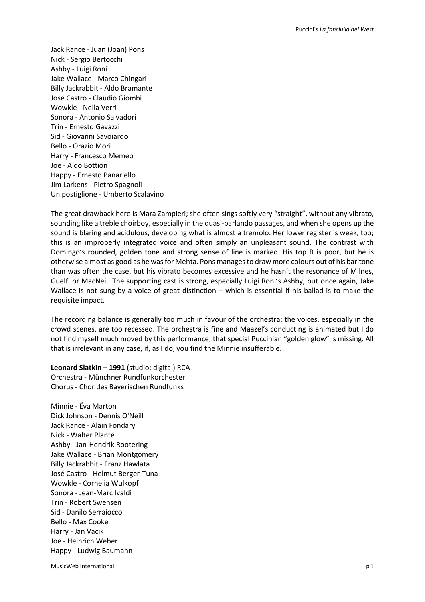Jack Rance - Juan (Joan) Pons Nick - Sergio Bertocchi Ashby - Luigi Roni Jake Wallace - Marco Chingari Billy Jackrabbit - Aldo Bramante José Castro - Claudio Giombi Wowkle - Nella Verri Sonora - Antonio Salvadori Trin - Ernesto Gavazzi Sid - Giovanni Savoiardo Bello - Orazio Mori Harry - Francesco Memeo Joe - Aldo Bottion Happy - Ernesto Panariello Jim Larkens - Pietro Spagnoli Un postiglione - Umberto Scalavino

The great drawback here is Mara Zampieri; she often sings softly very "straight", without any vibrato, sounding like a treble choirboy, especially in the quasi-parlando passages, and when she opens up the sound is blaring and acidulous, developing what is almost a tremolo. Her lower register is weak, too; this is an improperly integrated voice and often simply an unpleasant sound. The contrast with Domingo's rounded, golden tone and strong sense of line is marked. His top B is poor, but he is otherwise almost as good as he was for Mehta. Pons manages to draw more colours out of his baritone than was often the case, but his vibrato becomes excessive and he hasn't the resonance of Milnes, Guelfi or MacNeil. The supporting cast is strong, especially Luigi Roni's Ashby, but once again, Jake Wallace is not sung by a voice of great distinction – which is essential if his ballad is to make the requisite impact.

The recording balance is generally too much in favour of the orchestra; the voices, especially in the crowd scenes, are too recessed. The orchestra is fine and Maazel's conducting is animated but I do not find myself much moved by this performance; that special Puccinian "golden glow" is missing. All that is irrelevant in any case, if, as I do, you find the Minnie insufferable.

**Leonard Slatkin – 1991** (studio; digital) RCA Orchestra - Münchner Rundfunkorchester Chorus - Chor des Bayerischen Rundfunks

Minnie - Éva Marton Dick Johnson - Dennis O'Neill Jack Rance - Alain Fondary Nick - Walter Planté Ashby - Jan-Hendrik Rootering Jake Wallace - Brian Montgomery Billy Jackrabbit - Franz Hawlata José Castro - Helmut Berger-Tuna Wowkle - Cornelia Wulkopf Sonora - Jean-Marc Ivaldi Trin - Robert Swensen Sid - Danilo Serraiocco Bello - Max Cooke Harry - Jan Vacik Joe - Heinrich Weber Happy - Ludwig Baumann

MusicWeb International p 1